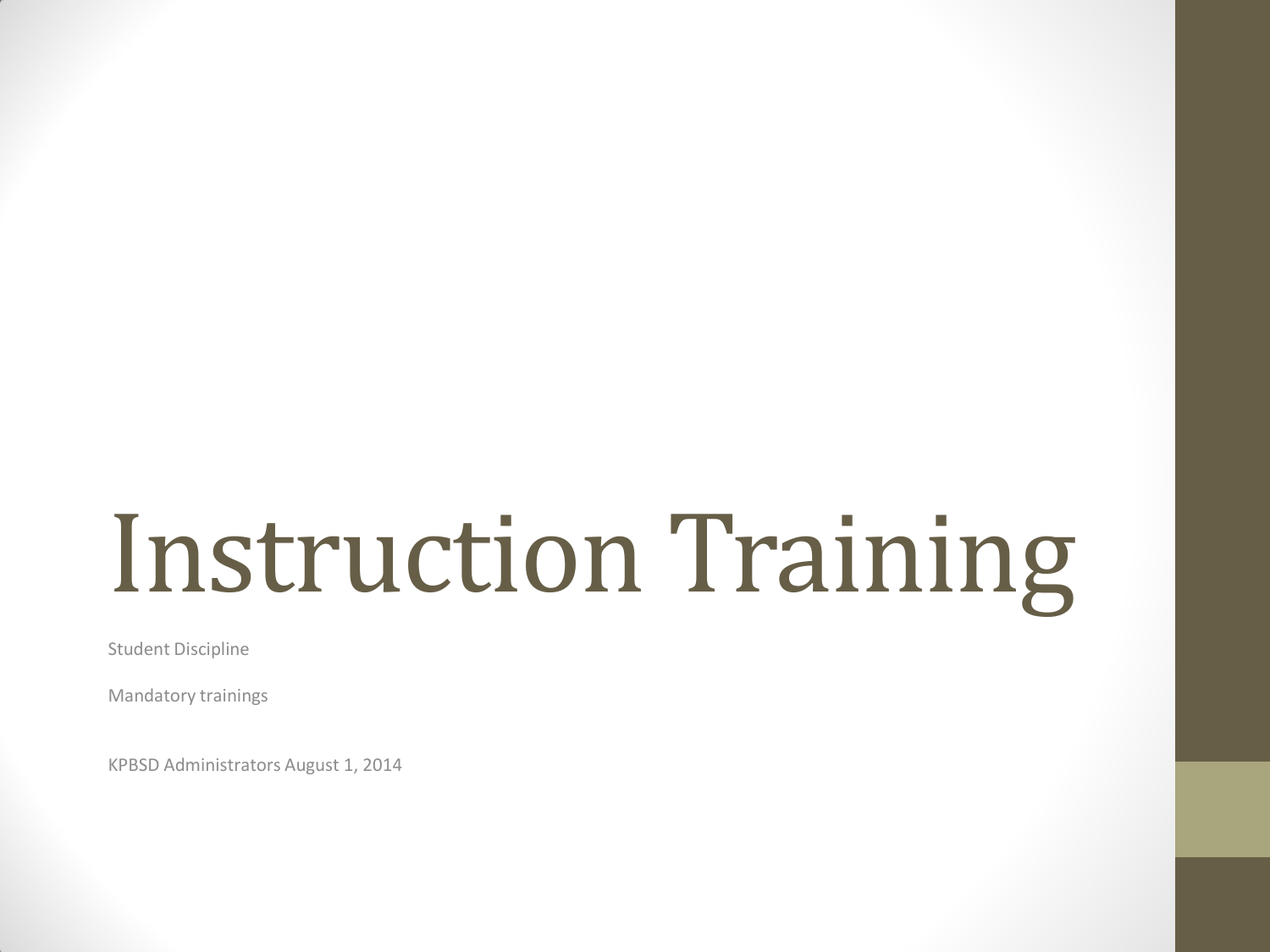# Instruction Training

Student Discipline

Mandatory trainings

KPBSD Administrators August 1, 2014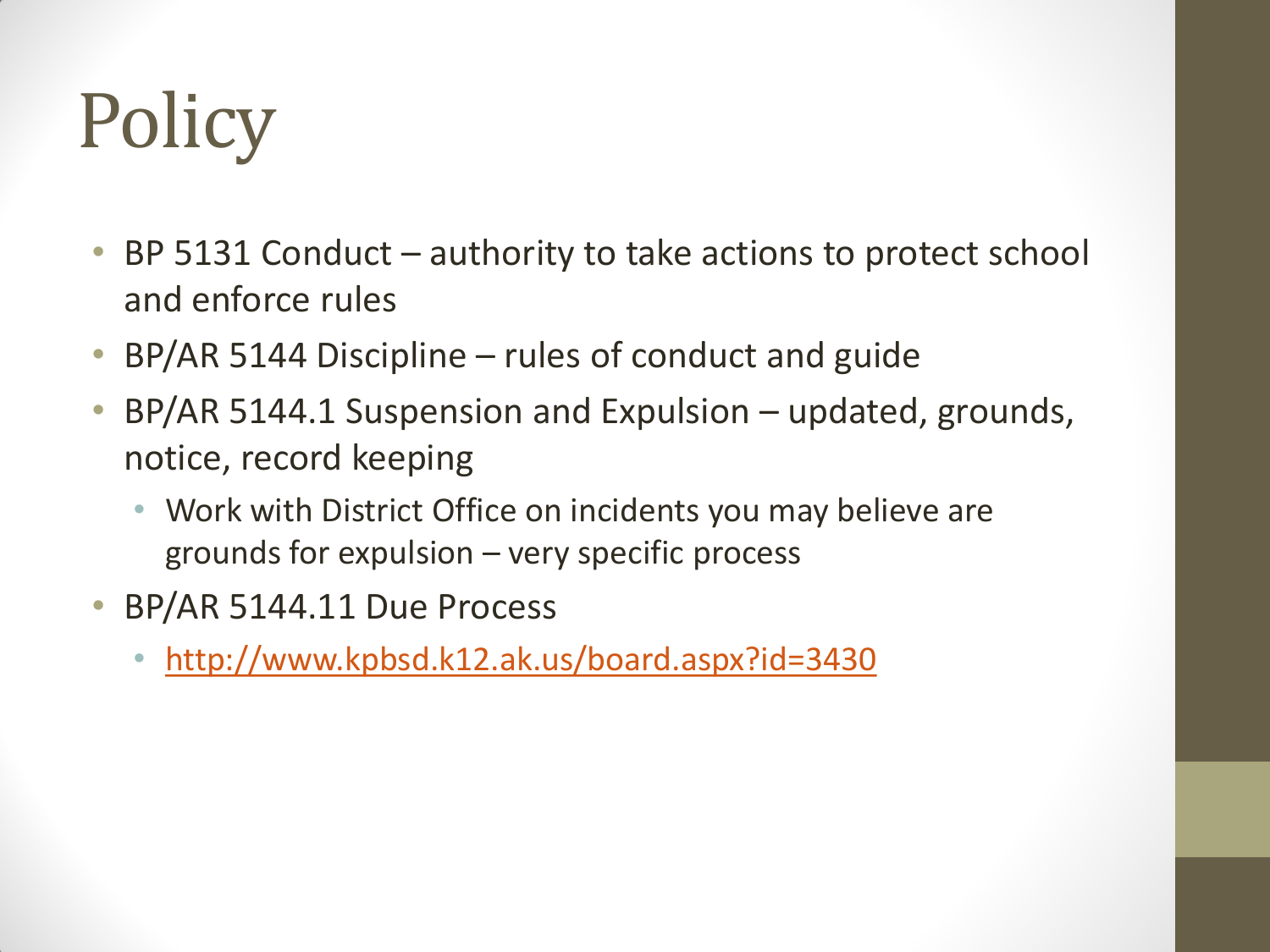# **Policy**

- BP 5131 Conduct authority to take actions to protect school and enforce rules
- BP/AR 5144 Discipline rules of conduct and guide
- BP/AR 5144.1 Suspension and Expulsion updated, grounds, notice, record keeping
	- Work with District Office on incidents you may believe are grounds for expulsion – very specific process
- BP/AR 5144.11 Due Process
	- <http://www.kpbsd.k12.ak.us/board.aspx?id=3430>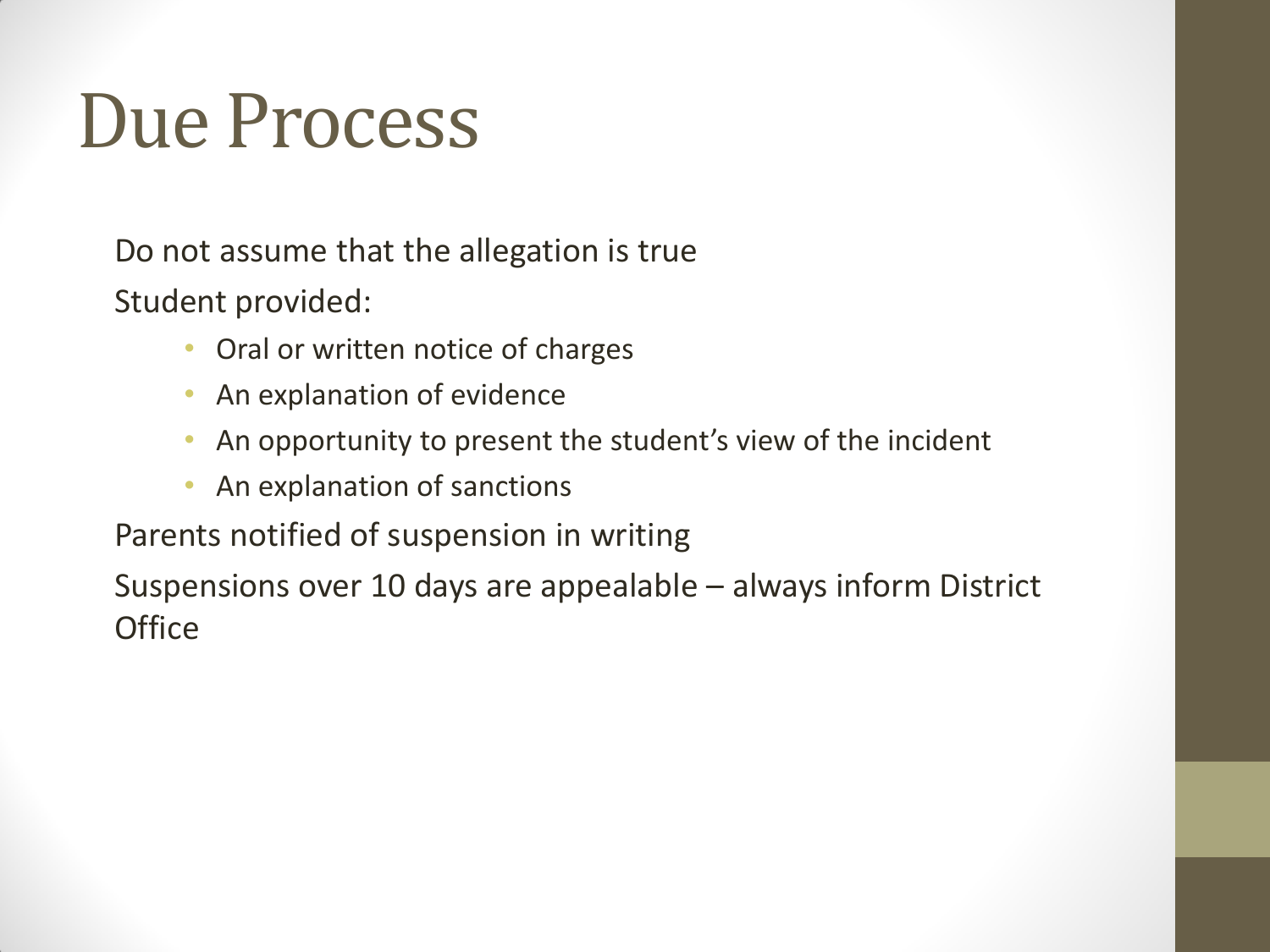#### Due Process

Do not assume that the allegation is true Student provided:

- Oral or written notice of charges
- An explanation of evidence
- An opportunity to present the student's view of the incident
- An explanation of sanctions

Parents notified of suspension in writing

Suspensions over 10 days are appealable – always inform District **Office**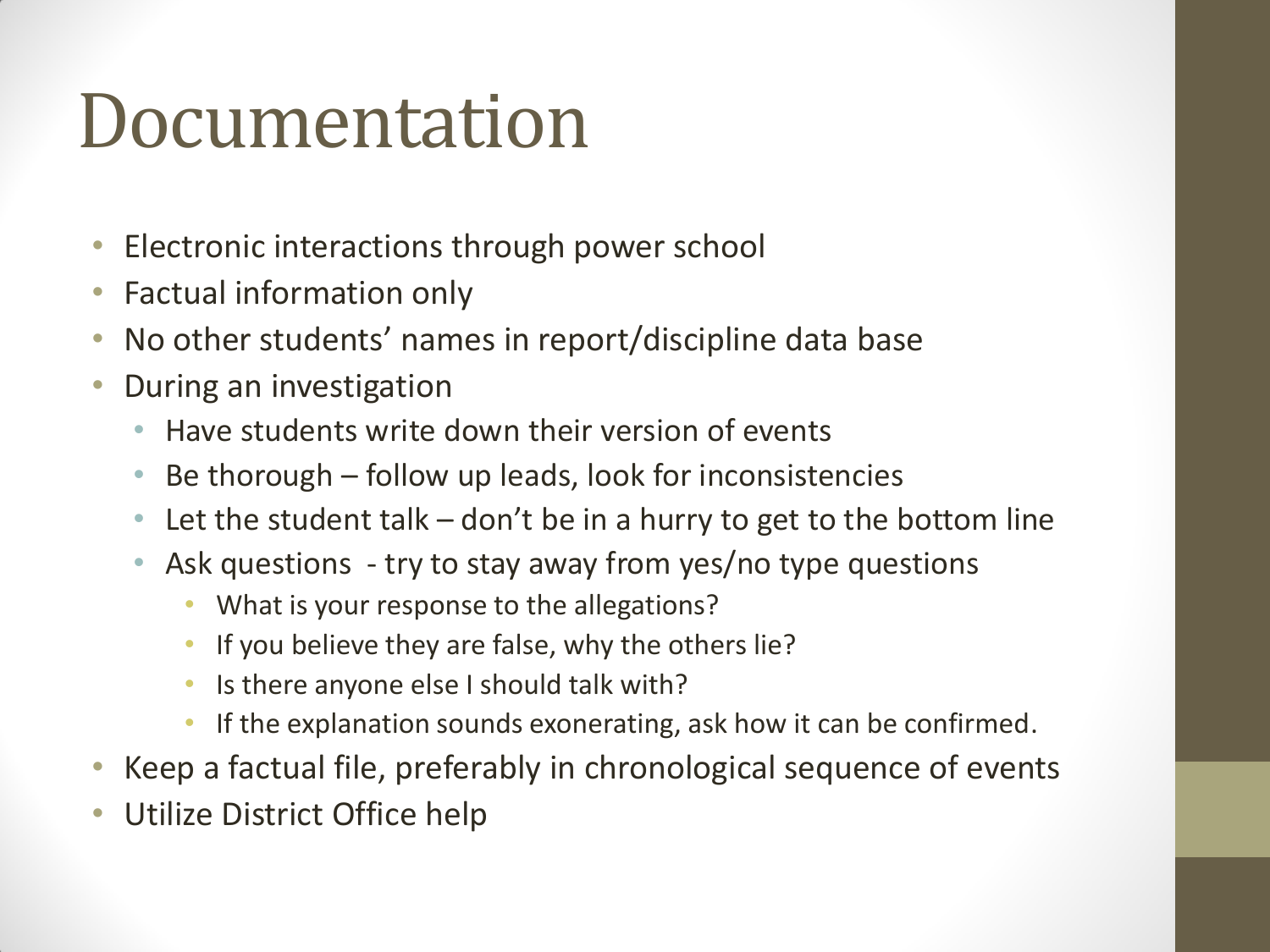#### Documentation

- Electronic interactions through power school
- Factual information only
- No other students' names in report/discipline data base
- During an investigation
	- Have students write down their version of events
	- Be thorough follow up leads, look for inconsistencies
	- Let the student talk  $-$  don't be in a hurry to get to the bottom line
	- Ask questions try to stay away from yes/no type questions
		- What is your response to the allegations?
		- If you believe they are false, why the others lie?
		- Is there anyone else I should talk with?
		- If the explanation sounds exonerating, ask how it can be confirmed.
- Keep a factual file, preferably in chronological sequence of events
- Utilize District Office help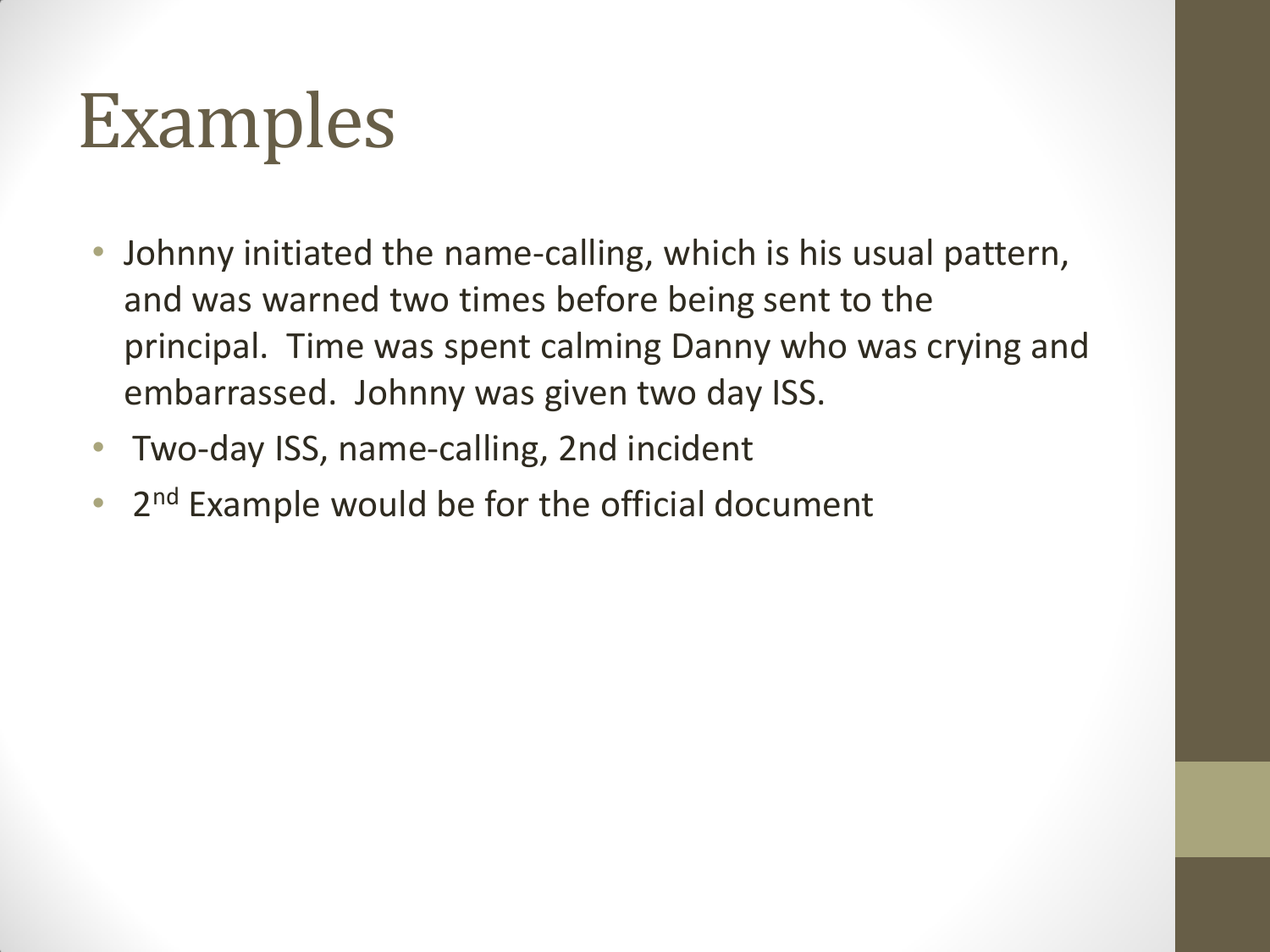## Examples

- Johnny initiated the name-calling, which is his usual pattern, and was warned two times before being sent to the principal. Time was spent calming Danny who was crying and embarrassed. Johnny was given two day ISS.
- Two-day ISS, name-calling, 2nd incident
- 2<sup>nd</sup> Example would be for the official document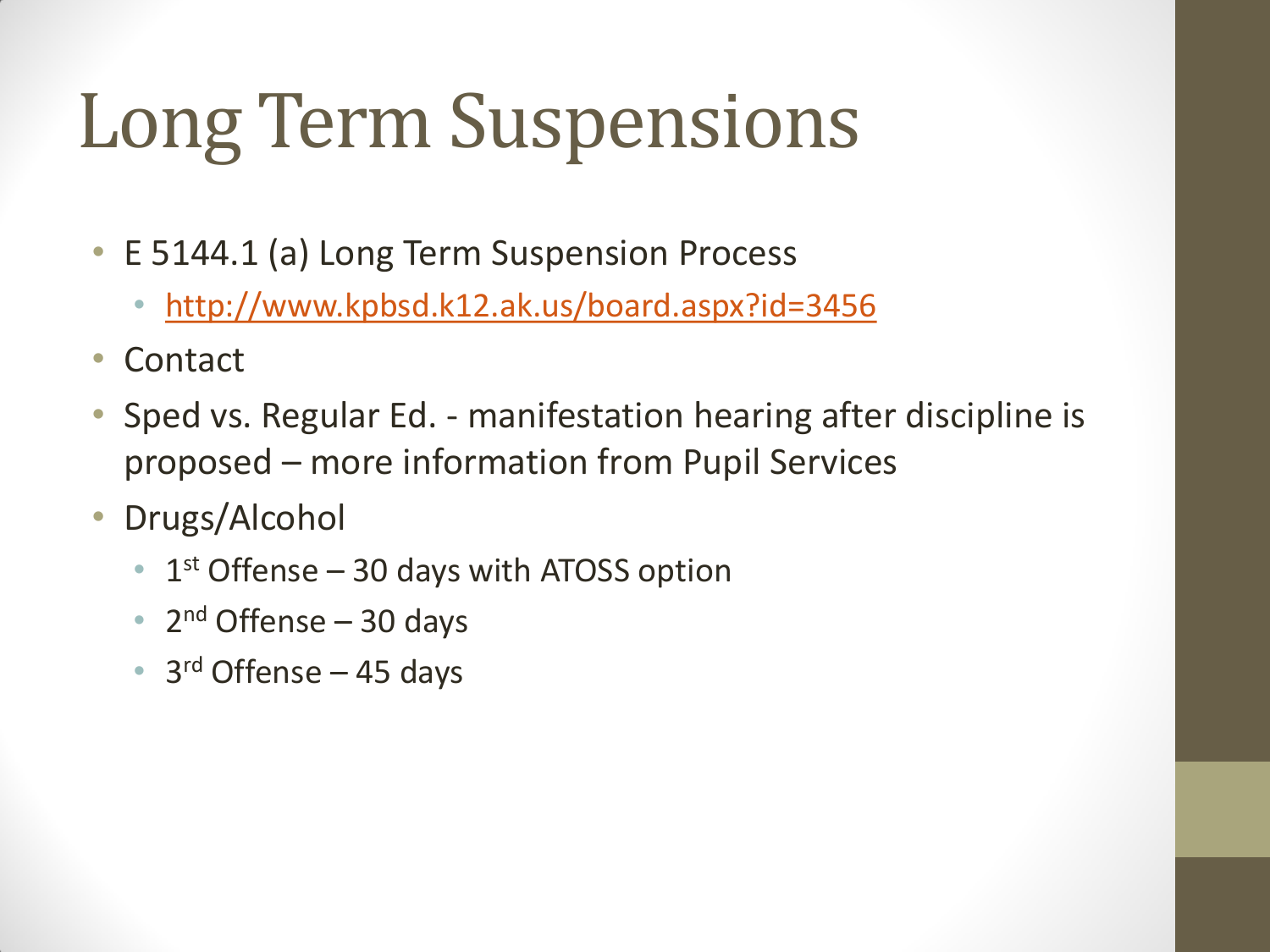## Long Term Suspensions

- E 5144.1 (a) Long Term Suspension Process
	- <http://www.kpbsd.k12.ak.us/board.aspx?id=3456>
- Contact
- Sped vs. Regular Ed. manifestation hearing after discipline is proposed – more information from Pupil Services
- Drugs/Alcohol
	- $\bullet$  1<sup>st</sup> Offense 30 days with ATOSS option
	- 2<sup>nd</sup> Offense 30 days
	- 3<sup>rd</sup> Offense 45 days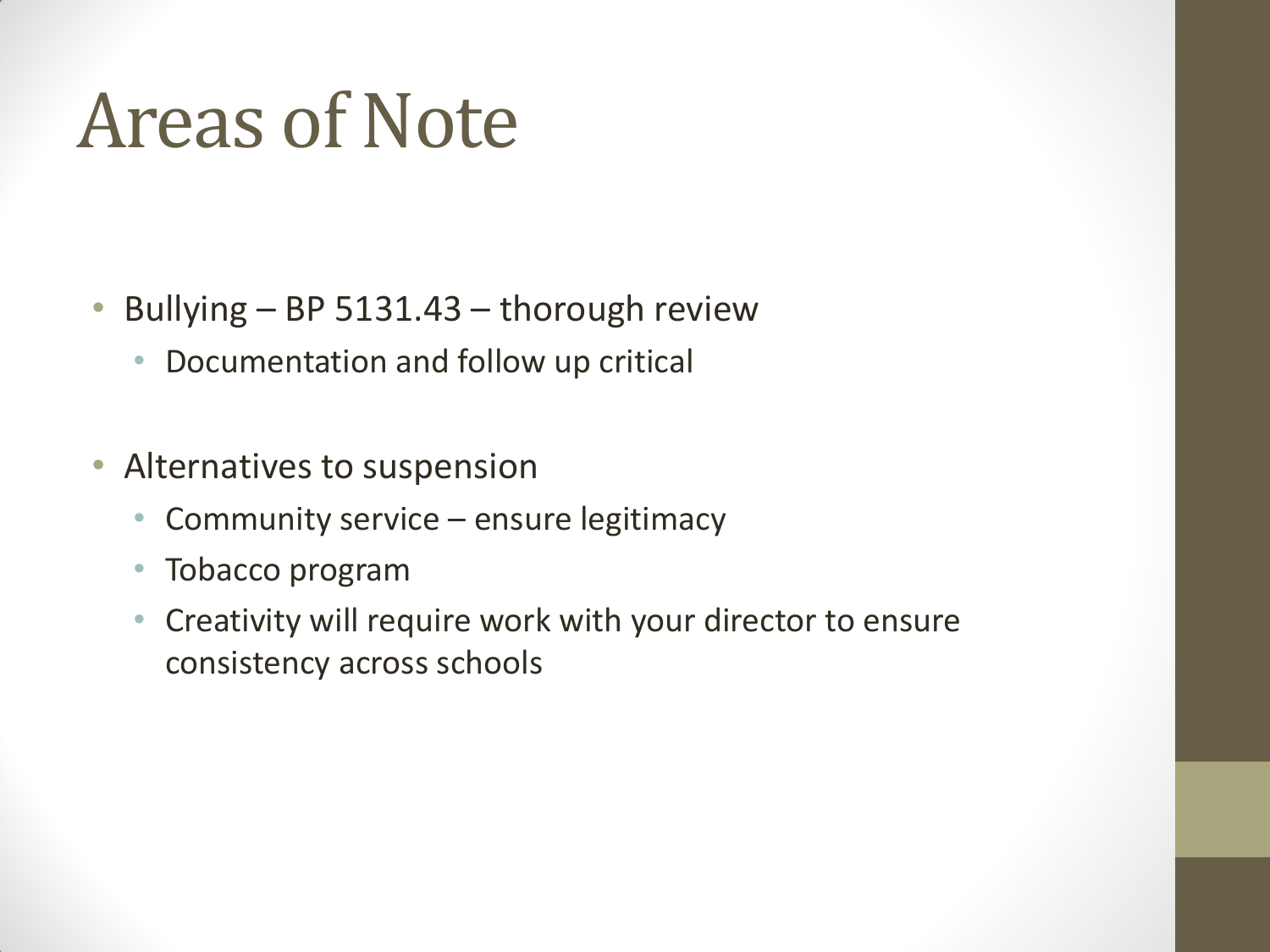#### Areas of Note

- Bullying BP 5131.43 thorough review
	- Documentation and follow up critical
- Alternatives to suspension
	- Community service ensure legitimacy
	- Tobacco program
	- Creativity will require work with your director to ensure consistency across schools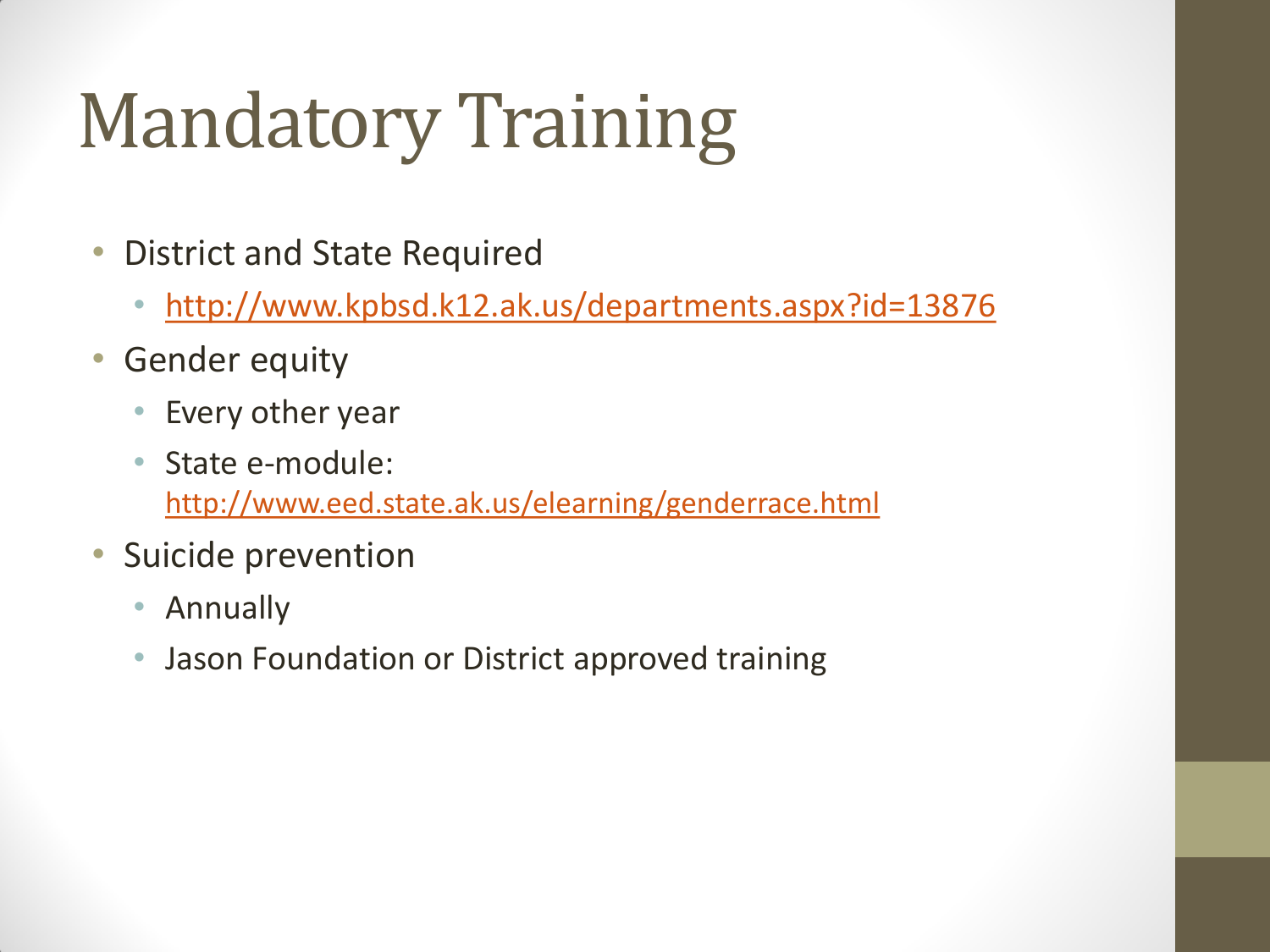# Mandatory Training

- District and State Required
	- <http://www.kpbsd.k12.ak.us/departments.aspx?id=13876>
- Gender equity
	- Every other year
	- State e-module: <http://www.eed.state.ak.us/elearning/genderrace.html>
- Suicide prevention
	- Annually
	- Jason Foundation or District approved training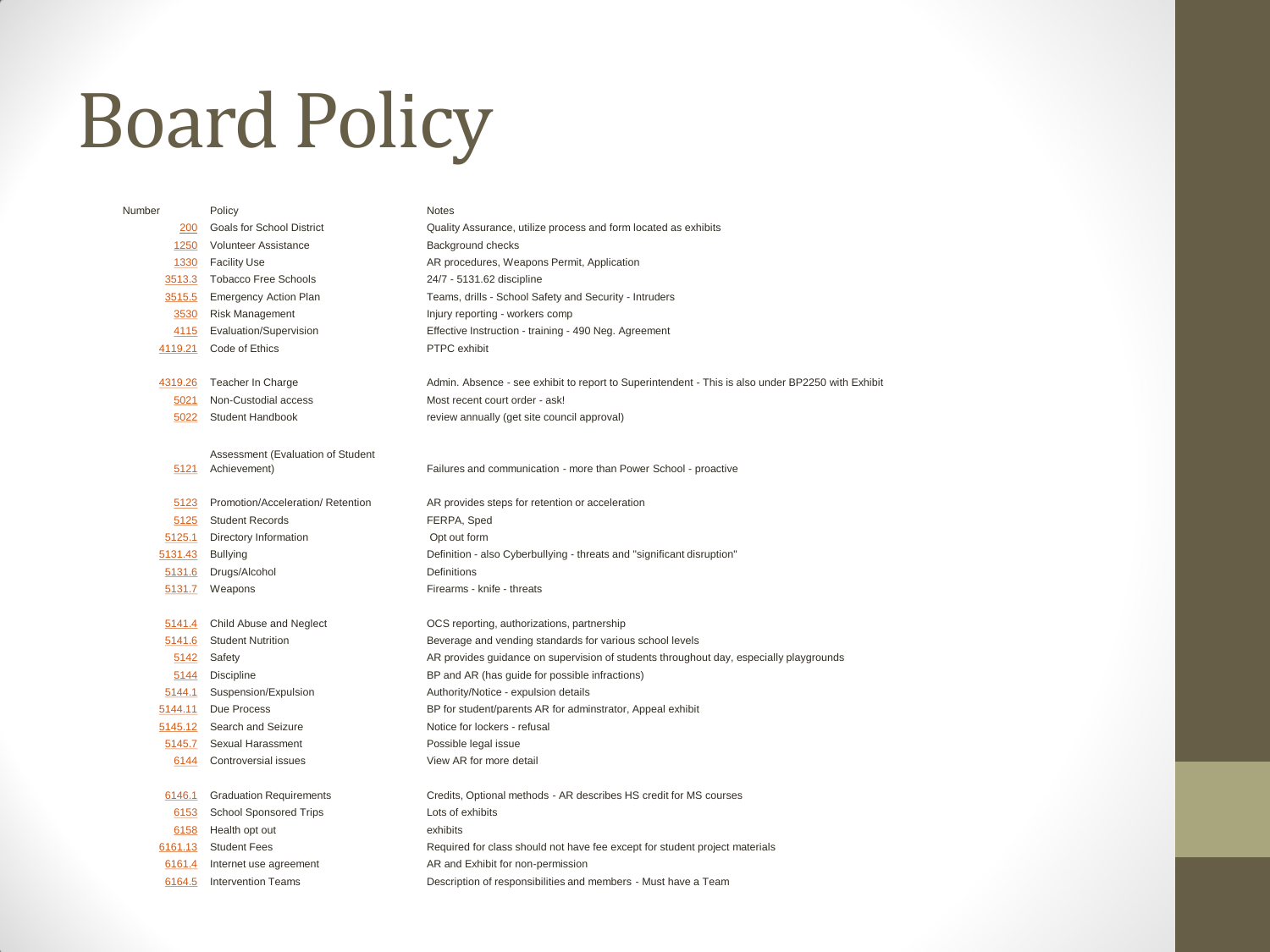### Board Policy

| Number  | Policy                            | <b>Notes</b>                                                                                      |
|---------|-----------------------------------|---------------------------------------------------------------------------------------------------|
| 200     | Goals for School District         | Quality Assurance, utilize process and form located as exhibits                                   |
| 1250    | <b>Volunteer Assistance</b>       | Background checks                                                                                 |
|         | 1330 Facility Use                 | AR procedures, Weapons Permit, Application                                                        |
|         | 3513.3 Tobacco Free Schools       | 24/7 - 5131.62 discipline                                                                         |
| 3515.5  | <b>Emergency Action Plan</b>      | Teams, drills - School Safety and Security - Intruders                                            |
| 3530    | Risk Management                   | Injury reporting - workers comp                                                                   |
|         | 4115 Evaluation/Supervision       | Effective Instruction - training - 490 Neg. Agreement                                             |
|         | 4119.21 Code of Ethics            | PTPC exhibit                                                                                      |
|         |                                   |                                                                                                   |
|         | 4319.26 Teacher In Charge         | Admin. Absence - see exhibit to report to Superintendent - This is also under BP2250 with Exhibit |
| 5021    | Non-Custodial access              | Most recent court order - ask!                                                                    |
| 5022    | Student Handbook                  | review annually (get site council approval)                                                       |
|         |                                   |                                                                                                   |
|         | Assessment (Evaluation of Student |                                                                                                   |
|         | 5121 Achievement)                 | Failures and communication - more than Power School - proactive                                   |
| 5123    | Promotion/Acceleration/ Retention | AR provides steps for retention or acceleration                                                   |
|         | 5125 Student Records              | FERPA, Sped                                                                                       |
| 5125.1  | Directory Information             | Opt out form                                                                                      |
| 5131.43 | <b>Bullying</b>                   | Definition - also Cyberbullying - threats and "significant disruption"                            |
| 5131.6  | Drugs/Alcohol                     | Definitions                                                                                       |
|         | 5131.7 Weapons                    | Firearms - knife - threats                                                                        |
|         |                                   |                                                                                                   |
| 5141.4  | Child Abuse and Neglect           | OCS reporting, authorizations, partnership                                                        |
| 5141.6  | <b>Student Nutrition</b>          | Beverage and vending standards for various school levels                                          |
| 5142    | Safety                            | AR provides guidance on supervision of students throughout day, especially playgrounds            |
| 5144    | <b>Discipline</b>                 | BP and AR (has guide for possible infractions)                                                    |
| 5144.1  | Suspension/Expulsion              | Authority/Notice - expulsion details                                                              |
| 5144.11 | Due Process                       | BP for student/parents AR for adminstrator, Appeal exhibit                                        |
|         | 5145.12 Search and Seizure        | Notice for lockers - refusal                                                                      |
|         | 5145.7 Sexual Harassment          | Possible legal issue                                                                              |
|         | 6144 Controversial issues         | View AR for more detail                                                                           |
| 6146.1  | <b>Graduation Requirements</b>    | Credits, Optional methods - AR describes HS credit for MS courses                                 |
| 6153    | <b>School Sponsored Trips</b>     | Lots of exhibits                                                                                  |
| 6158    | Health opt out                    | exhibits                                                                                          |
|         | 6161.13 Student Fees              | Required for class should not have fee except for student project materials                       |
| 6161.4  | Internet use agreement            | AR and Exhibit for non-permission                                                                 |
| 6164.5  | <b>Intervention Teams</b>         | Description of responsibilities and members - Must have a Team                                    |
|         |                                   |                                                                                                   |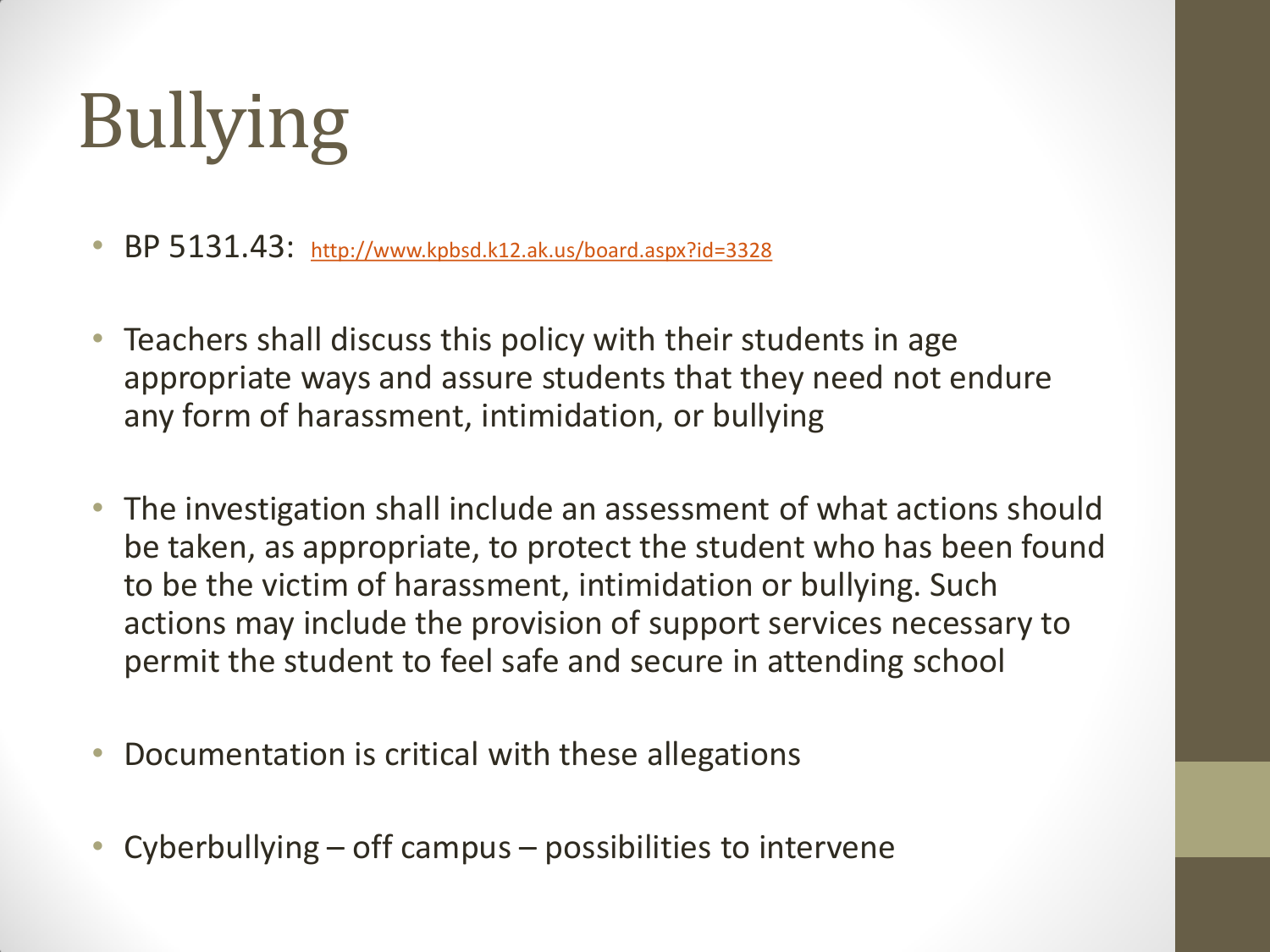# Bullying

• BP 5131.43: <http://www.kpbsd.k12.ak.us/board.aspx?id=3328>

- Teachers shall discuss this policy with their students in age appropriate ways and assure students that they need not endure any form of harassment, intimidation, or bullying
- The investigation shall include an assessment of what actions should be taken, as appropriate, to protect the student who has been found to be the victim of harassment, intimidation or bullying. Such actions may include the provision of support services necessary to permit the student to feel safe and secure in attending school
- Documentation is critical with these allegations
- Cyberbullying off campus possibilities to intervene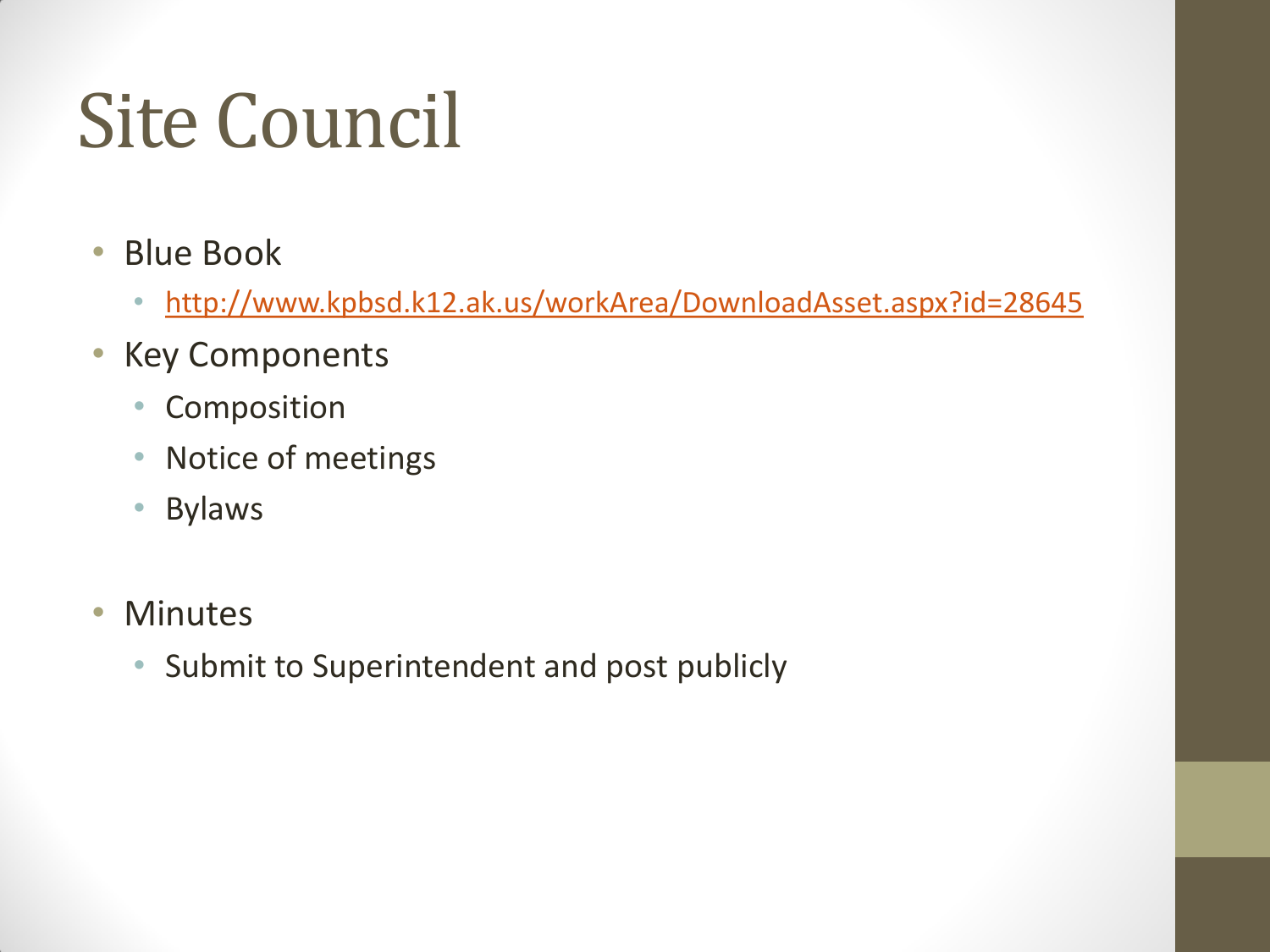### Site Council

- Blue Book
	- <http://www.kpbsd.k12.ak.us/workArea/DownloadAsset.aspx?id=28645>
- Key Components
	- Composition
	- Notice of meetings
	- Bylaws
- Minutes
	- Submit to Superintendent and post publicly